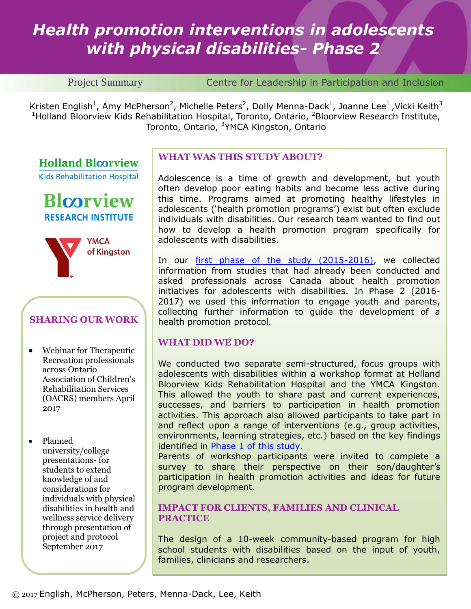# *Health promotion interventions in adolescents with physical disabilities- Phase 2*

Project Summary Centre for Leadership in Participation and Inclusion

Kristen English<sup>1</sup>, Amy McPherson<sup>2</sup>, Michelle Peters<sup>2</sup>, Dolly Menna-Dack<sup>1</sup>, Joanne Lee<sup>1</sup>, Vicki Keith<sup>3</sup> <sup>1</sup>Holland Bloorview Kids Rehabilitation Hospital, Toronto, Ontario, <sup>2</sup>Bloorview Research Institute, Toronto, Ontario, <sup>3</sup>YMCA Kingston, Ontario

**Holland Bloorview** 

**Kids Rehabilitation Hospital** 





# **SHARING OUR WORK**

 Webinar for Therapeutic Recreation professionals across Ontario Association of Children's Rehabilitation Services (OACRS) members April 2017

• Planned university/college presentations- for students to extend knowledge of and considerations for individuals with physical disabilities in health and wellness service delivery through presentation of project and protocol September 2017

#### **WHAT WAS THIS STUDY ABOUT?**

Adolescence is a time of growth and development, but youth often develop poor eating habits and become less active during this time. Programs aimed at promoting healthy lifestyles in adolescents ('health promotion programs') exist but often exclude individuals with disabilities. Our research team wanted to find out how to develop a health promotion program specifically for adolescents with disabilities.

In our [first phase of the study \(2015-2016\),](http://hollandbloorview.ca/Assets/Centres%20for%20Leadership/2015-16%20project%20summaries/ENGLISH%20health%20promo%20project%20summary%202016-08.pdf) we collected information from studies that had already been conducted and asked professionals across Canada about health promotion initiatives for adolescents with disabilities. In Phase 2 (2016- 2017) we used this information to engage youth and parents, collecting further information to guide the development of a health promotion protocol.

#### **WHAT DID WE DO?**

We conducted two separate semi-structured, focus groups with adolescents with disabilities within a workshop format at Holland Bloorview Kids Rehabilitation Hospital and the YMCA Kingston. This allowed the youth to share past and current experiences, successes, and barriers to participation in health promotion activities. This approach also allowed participants to take part in and reflect upon a range of interventions (e.g., group activities, environments, learning strategies, etc.) based on the key findings identified in [Phase 1 of this study.](http://hollandbloorview.ca/Assets/Centres%20for%20Leadership/2015-16%20project%20summaries/ENGLISH%20health%20promo%20project%20summary%202016-08.pdf)

Parents of workshop participants were invited to complete a survey to share their perspective on their son/daughter's participation in health promotion activities and ideas for future program development.

#### **IMPACT FOR CLIENTS, FAMILIES AND CLINICAL PRACTICE**

The design of a 10-week community-based program for high school students with disabilities based on the input of youth, families, clinicians and researchers.